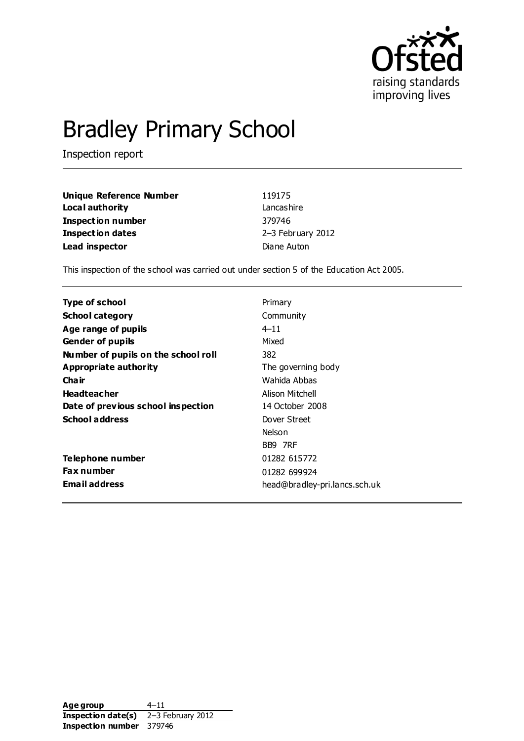

# Bradley Primary School

Inspection report

| <b>Unique Reference Number</b> | 119175            |
|--------------------------------|-------------------|
| Local authority                | Lancashire        |
| Inspection number              | 379746            |
| <b>Inspection dates</b>        | 2-3 February 2012 |
| Lead inspector                 | Diane Auton       |

This inspection of the school was carried out under section 5 of the Education Act 2005.

| Type of school                      | Primary                       |
|-------------------------------------|-------------------------------|
| <b>School category</b>              | Community                     |
| Age range of pupils                 | $4 - 11$                      |
| <b>Gender of pupils</b>             | Mixed                         |
| Number of pupils on the school roll | 382                           |
| Appropriate authority               | The governing body            |
| Cha ir                              | Wahida Abbas                  |
| <b>Headteacher</b>                  | Alison Mitchell               |
| Date of previous school inspection  | 14 October 2008               |
| <b>School address</b>               | Dover Street                  |
|                                     | Nelson                        |
|                                     | BB9 7RF                       |
| Telephone number                    | 01282 615772                  |
| <b>Fax number</b>                   | 01282 699924                  |
| <b>Email address</b>                | head@bradley-pri.lancs.sch.uk |

Age group 4–11 **Inspection date(s)** 2–3 February 2012 **Inspection number** 379746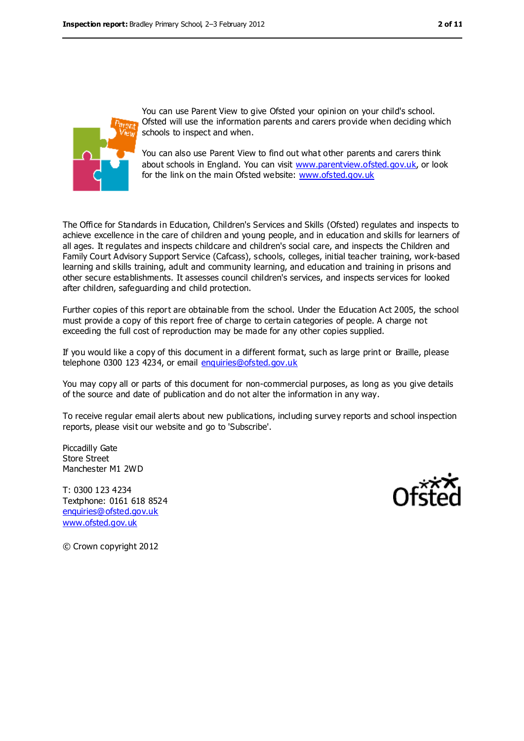

You can use Parent View to give Ofsted your opinion on your child's school. Ofsted will use the information parents and carers provide when deciding which schools to inspect and when.

You can also use Parent View to find out what other parents and carers think about schools in England. You can visit [www.parentview.ofsted.gov.uk,](../../../../../../../Documents%20and%20Settings/RIPC/Local%20Settings/Temporary%20Internet%20Files/Content.IE5/HSZSRU45/www.parentview.ofsted.gov.uk) or look for the link on the main Ofsted website: [www.ofsted.gov.uk](../../../../../../../Documents%20and%20Settings/RIPC/Local%20Settings/Temporary%20Internet%20Files/Content.IE5/HSZSRU45/www.ofsted.gov.uk)

The Office for Standards in Education, Children's Services and Skills (Ofsted) regulates and inspects to achieve excellence in the care of children and young people, and in education and skills for learners of all ages. It regulates and inspects childcare and children's social care, and inspects the Children and Family Court Advisory Support Service (Cafcass), schools, colleges, initial teacher training, work-based learning and skills training, adult and community learning, and education and training in prisons and other secure establishments. It assesses council children's services, and inspects services for looked after children, safeguarding and child protection.

Further copies of this report are obtainable from the school. Under the Education Act 2005, the school must provide a copy of this report free of charge to certain categories of people. A charge not exceeding the full cost of reproduction may be made for any other copies supplied.

If you would like a copy of this document in a different format, such as large print or Braille, please telephone 0300 123 4234, or email [enquiries@ofsted.gov.uk](mailto:enquiries@ofsted.gov.uk)

You may copy all or parts of this document for non-commercial purposes, as long as you give details of the source and date of publication and do not alter the information in any way.

To receive regular email alerts about new publications, including survey reports and school inspection reports, please visit our website and go to 'Subscribe'.

Piccadilly Gate Store Street Manchester M1 2WD

T: 0300 123 4234 Textphone: 0161 618 8524 [enquiries@ofsted.gov.uk](mailto:enquiries@ofsted.gov.uk) [www.ofsted.gov.uk](http://www.ofsted.gov.uk/)



© Crown copyright 2012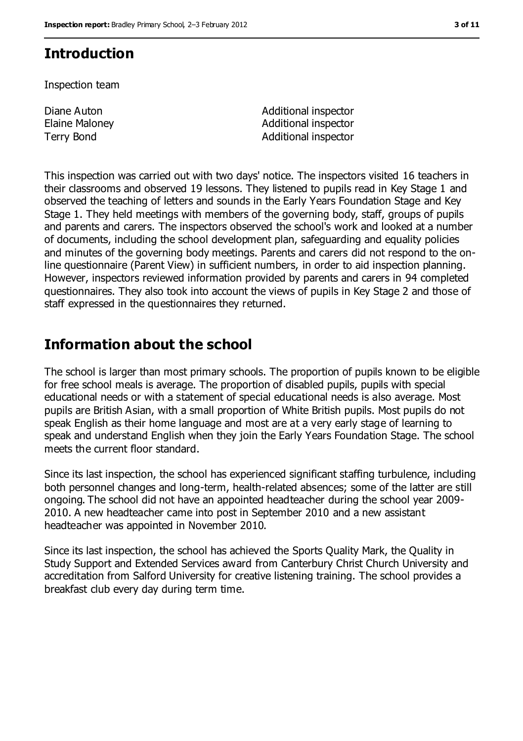# **Introduction**

Inspection team

Diane Auton Elaine Maloney

Additional inspector Additional inspector Terry Bond **Additional inspector** 

This inspection was carried out with two days' notice. The inspectors visited 16 teachers in their classrooms and observed 19 lessons. They listened to pupils read in Key Stage 1 and observed the teaching of letters and sounds in the Early Years Foundation Stage and Key Stage 1. They held meetings with members of the governing body, staff, groups of pupils and parents and carers. The inspectors observed the school's work and looked at a number of documents, including the school development plan, safeguarding and equality policies and minutes of the governing body meetings. Parents and carers did not respond to the online questionnaire (Parent View) in sufficient numbers, in order to aid inspection planning. However, inspectors reviewed information provided by parents and carers in 94 completed questionnaires. They also took into account the views of pupils in Key Stage 2 and those of staff expressed in the questionnaires they returned.

# **Information about the school**

The school is larger than most primary schools. The proportion of pupils known to be eligible for free school meals is average. The proportion of disabled pupils, pupils with special educational needs or with a statement of special educational needs is also average. Most pupils are British Asian, with a small proportion of White British pupils. Most pupils do not speak English as their home language and most are at a very early stage of learning to speak and understand English when they join the Early Years Foundation Stage. The school meets the current floor standard.

Since its last inspection, the school has experienced significant staffing turbulence, including both personnel changes and long-term, health-related absences; some of the latter are still ongoing. The school did not have an appointed headteacher during the school year 2009- 2010. A new headteacher came into post in September 2010 and a new assistant headteacher was appointed in November 2010.

Since its last inspection, the school has achieved the Sports Quality Mark, the Quality in Study Support and Extended Services award from Canterbury Christ Church University and accreditation from Salford University for creative listening training. The school provides a breakfast club every day during term time.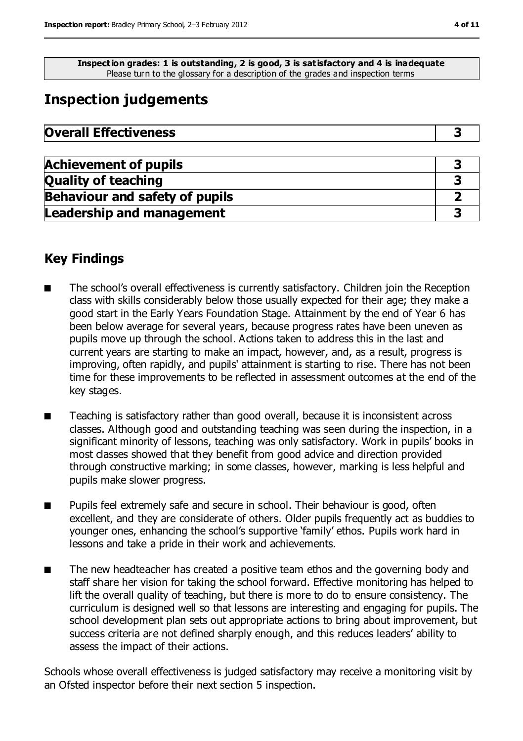**Inspection grades: 1 is outstanding, 2 is good, 3 is satisfactory and 4 is inadequate** Please turn to the glossary for a description of the grades and inspection terms

# **Inspection judgements**

| <b>Overall Effectiveness</b> |  |
|------------------------------|--|
|------------------------------|--|

| <b>Achievement of pupils</b>          |  |
|---------------------------------------|--|
| <b>Quality of teaching</b>            |  |
| <b>Behaviour and safety of pupils</b> |  |
| <b>Leadership and management</b>      |  |

## **Key Findings**

- The school's overall effectiveness is currently satisfactory. Children join the Reception class with skills considerably below those usually expected for their age; they make a good start in the Early Years Foundation Stage. Attainment by the end of Year 6 has been below average for several years, because progress rates have been uneven as pupils move up through the school. Actions taken to address this in the last and current years are starting to make an impact, however, and, as a result, progress is improving, often rapidly, and pupils' attainment is starting to rise. There has not been time for these improvements to be reflected in assessment outcomes at the end of the key stages.
- Teaching is satisfactory rather than good overall, because it is inconsistent across classes. Although good and outstanding teaching was seen during the inspection, in a significant minority of lessons, teaching was only satisfactory. Work in pupils' books in most classes showed that they benefit from good advice and direction provided through constructive marking; in some classes, however, marking is less helpful and pupils make slower progress.
- Pupils feel extremely safe and secure in school. Their behaviour is good, often excellent, and they are considerate of others. Older pupils frequently act as buddies to younger ones, enhancing the school's supportive 'family' ethos. Pupils work hard in lessons and take a pride in their work and achievements.
- The new headteacher has created a positive team ethos and the governing body and staff share her vision for taking the school forward. Effective monitoring has helped to lift the overall quality of teaching, but there is more to do to ensure consistency. The curriculum is designed well so that lessons are interesting and engaging for pupils. The school development plan sets out appropriate actions to bring about improvement, but success criteria are not defined sharply enough, and this reduces leaders' ability to assess the impact of their actions.

Schools whose overall effectiveness is judged satisfactory may receive a monitoring visit by an Ofsted inspector before their next section 5 inspection.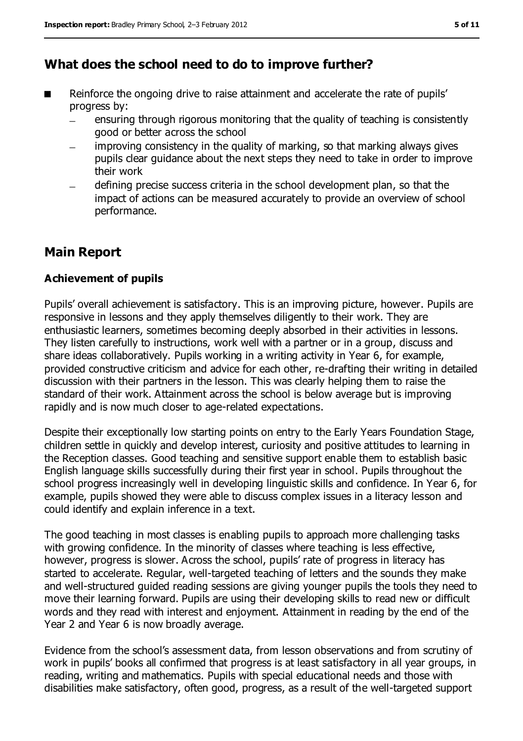# **What does the school need to do to improve further?**

- Reinforce the ongoing drive to raise attainment and accelerate the rate of pupils' progress by:
	- ensuring through rigorous monitoring that the quality of teaching is consistently good or better across the school
	- improving consistency in the quality of marking, so that marking always gives pupils clear guidance about the next steps they need to take in order to improve their work
	- defining precise success criteria in the school development plan, so that the impact of actions can be measured accurately to provide an overview of school performance.

# **Main Report**

#### **Achievement of pupils**

Pupils' overall achievement is satisfactory. This is an improving picture, however. Pupils are responsive in lessons and they apply themselves diligently to their work. They are enthusiastic learners, sometimes becoming deeply absorbed in their activities in lessons. They listen carefully to instructions, work well with a partner or in a group, discuss and share ideas collaboratively. Pupils working in a writing activity in Year 6, for example, provided constructive criticism and advice for each other, re-drafting their writing in detailed discussion with their partners in the lesson. This was clearly helping them to raise the standard of their work. Attainment across the school is below average but is improving rapidly and is now much closer to age-related expectations.

Despite their exceptionally low starting points on entry to the Early Years Foundation Stage, children settle in quickly and develop interest, curiosity and positive attitudes to learning in the Reception classes. Good teaching and sensitive support enable them to establish basic English language skills successfully during their first year in school. Pupils throughout the school progress increasingly well in developing linguistic skills and confidence. In Year 6, for example, pupils showed they were able to discuss complex issues in a literacy lesson and could identify and explain inference in a text.

The good teaching in most classes is enabling pupils to approach more challenging tasks with growing confidence. In the minority of classes where teaching is less effective, however, progress is slower. Across the school, pupils' rate of progress in literacy has started to accelerate. Regular, well-targeted teaching of letters and the sounds they make and well-structured guided reading sessions are giving younger pupils the tools they need to move their learning forward. Pupils are using their developing skills to read new or difficult words and they read with interest and enjoyment. Attainment in reading by the end of the Year 2 and Year 6 is now broadly average.

Evidence from the school's assessment data, from lesson observations and from scrutiny of work in pupils' books all confirmed that progress is at least satisfactory in all year groups, in reading, writing and mathematics. Pupils with special educational needs and those with disabilities make satisfactory, often good, progress, as a result of the well-targeted support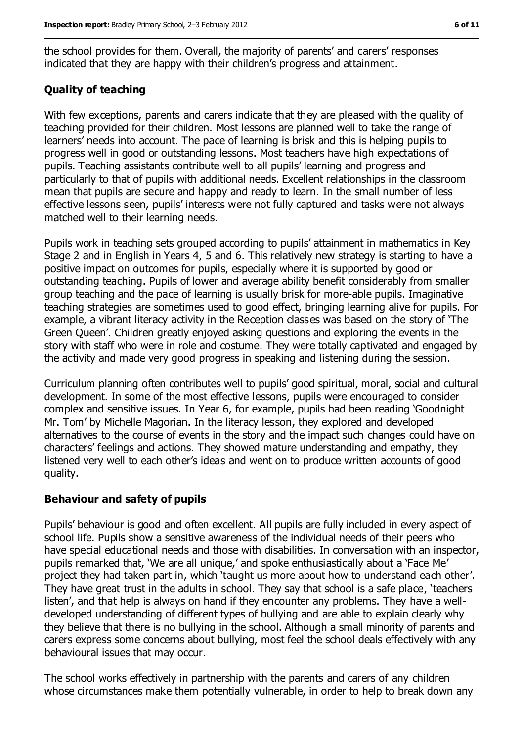the school provides for them. Overall, the majority of parents' and carers' responses indicated that they are happy with their children's progress and attainment.

#### **Quality of teaching**

With few exceptions, parents and carers indicate that they are pleased with the quality of teaching provided for their children. Most lessons are planned well to take the range of learners' needs into account. The pace of learning is brisk and this is helping pupils to progress well in good or outstanding lessons. Most teachers have high expectations of pupils. Teaching assistants contribute well to all pupils' learning and progress and particularly to that of pupils with additional needs. Excellent relationships in the classroom mean that pupils are secure and happy and ready to learn. In the small number of less effective lessons seen, pupils' interests were not fully captured and tasks were not always matched well to their learning needs.

Pupils work in teaching sets grouped according to pupils' attainment in mathematics in Key Stage 2 and in English in Years 4, 5 and 6. This relatively new strategy is starting to have a positive impact on outcomes for pupils, especially where it is supported by good or outstanding teaching. Pupils of lower and average ability benefit considerably from smaller group teaching and the pace of learning is usually brisk for more-able pupils. Imaginative teaching strategies are sometimes used to good effect, bringing learning alive for pupils. For example, a vibrant literacy activity in the Reception classes was based on the story of 'The Green Queen'. Children greatly enjoyed asking questions and exploring the events in the story with staff who were in role and costume. They were totally captivated and engaged by the activity and made very good progress in speaking and listening during the session.

Curriculum planning often contributes well to pupils' good spiritual, moral, social and cultural development. In some of the most effective lessons, pupils were encouraged to consider complex and sensitive issues. In Year 6, for example, pupils had been reading 'Goodnight Mr. Tom' by Michelle Magorian. In the literacy lesson, they explored and developed alternatives to the course of events in the story and the impact such changes could have on characters' feelings and actions. They showed mature understanding and empathy, they listened very well to each other's ideas and went on to produce written accounts of good quality.

#### **Behaviour and safety of pupils**

Pupils' behaviour is good and often excellent. All pupils are fully included in every aspect of school life. Pupils show a sensitive awareness of the individual needs of their peers who have special educational needs and those with disabilities. In conversation with an inspector, pupils remarked that, 'We are all unique,' and spoke enthusiastically about a 'Face Me' project they had taken part in, which 'taught us more about how to understand each other'. They have great trust in the adults in school. They say that school is a safe place, 'teachers listen', and that help is always on hand if they encounter any problems. They have a welldeveloped understanding of different types of bullying and are able to explain clearly why they believe that there is no bullying in the school. Although a small minority of parents and carers express some concerns about bullying, most feel the school deals effectively with any behavioural issues that may occur.

The school works effectively in partnership with the parents and carers of any children whose circumstances make them potentially vulnerable, in order to help to break down any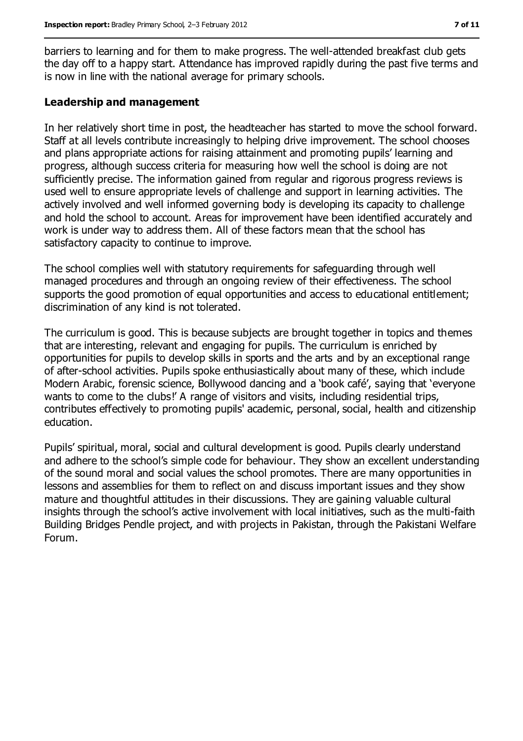barriers to learning and for them to make progress. The well-attended breakfast club gets the day off to a happy start. Attendance has improved rapidly during the past five terms and is now in line with the national average for primary schools.

#### **Leadership and management**

In her relatively short time in post, the headteacher has started to move the school forward. Staff at all levels contribute increasingly to helping drive improvement. The school chooses and plans appropriate actions for raising attainment and promoting pupils' learning and progress, although success criteria for measuring how well the school is doing are not sufficiently precise. The information gained from regular and rigorous progress reviews is used well to ensure appropriate levels of challenge and support in learning activities. The actively involved and well informed governing body is developing its capacity to challenge and hold the school to account. Areas for improvement have been identified accurately and work is under way to address them. All of these factors mean that the school has satisfactory capacity to continue to improve.

The school complies well with statutory requirements for safeguarding through well managed procedures and through an ongoing review of their effectiveness. The school supports the good promotion of equal opportunities and access to educational entitlement; discrimination of any kind is not tolerated.

The curriculum is good. This is because subjects are brought together in topics and themes that are interesting, relevant and engaging for pupils. The curriculum is enriched by opportunities for pupils to develop skills in sports and the arts and by an exceptional range of after-school activities. Pupils spoke enthusiastically about many of these, which include Modern Arabic, forensic science, Bollywood dancing and a 'book café', saying that 'everyone wants to come to the clubs!' A range of visitors and visits, including residential trips, contributes effectively to promoting pupils' academic, personal, social, health and citizenship education.

Pupils' spiritual, moral, social and cultural development is good. Pupils clearly understand and adhere to the school's simple code for behaviour. They show an excellent understanding of the sound moral and social values the school promotes. There are many opportunities in lessons and assemblies for them to reflect on and discuss important issues and they show mature and thoughtful attitudes in their discussions. They are gaining valuable cultural insights through the school's active involvement with local initiatives, such as the multi-faith Building Bridges Pendle project, and with projects in Pakistan, through the Pakistani Welfare Forum.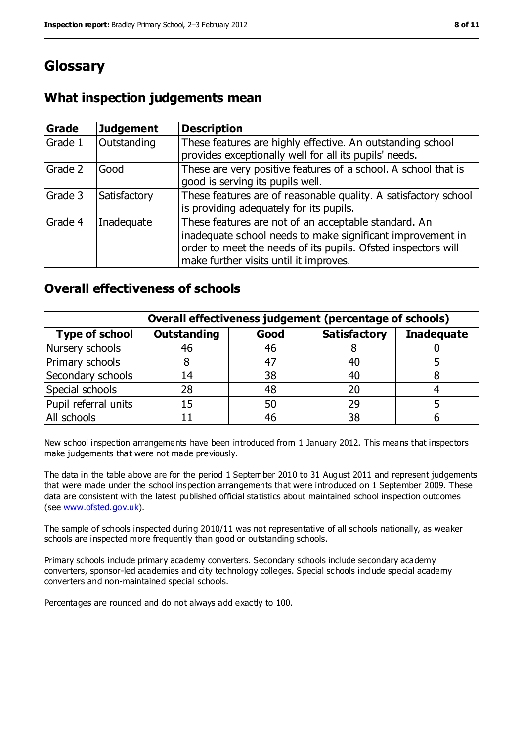# **Glossary**

# **What inspection judgements mean**

| Grade   | <b>Judgement</b> | <b>Description</b>                                                                                                                                                                                                            |
|---------|------------------|-------------------------------------------------------------------------------------------------------------------------------------------------------------------------------------------------------------------------------|
| Grade 1 | Outstanding      | These features are highly effective. An outstanding school<br>provides exceptionally well for all its pupils' needs.                                                                                                          |
| Grade 2 | Good             | These are very positive features of a school. A school that is<br>good is serving its pupils well.                                                                                                                            |
| Grade 3 | Satisfactory     | These features are of reasonable quality. A satisfactory school<br>is providing adequately for its pupils.                                                                                                                    |
| Grade 4 | Inadequate       | These features are not of an acceptable standard. An<br>inadequate school needs to make significant improvement in<br>order to meet the needs of its pupils. Ofsted inspectors will<br>make further visits until it improves. |

### **Overall effectiveness of schools**

|                       | Overall effectiveness judgement (percentage of schools) |      |                     |                   |
|-----------------------|---------------------------------------------------------|------|---------------------|-------------------|
| <b>Type of school</b> | <b>Outstanding</b>                                      | Good | <b>Satisfactory</b> | <b>Inadequate</b> |
| Nursery schools       | 46                                                      | 46   |                     |                   |
| Primary schools       |                                                         | 47   | 40                  |                   |
| Secondary schools     | 14                                                      | 38   | 40                  |                   |
| Special schools       | 28                                                      | 48   | 20                  |                   |
| Pupil referral units  | 15                                                      | 50   | 29                  |                   |
| All schools           |                                                         | 46   | 38                  |                   |

New school inspection arrangements have been introduced from 1 January 2012. This means that inspectors make judgements that were not made previously.

The data in the table above are for the period 1 September 2010 to 31 August 2011 and represent judgements that were made under the school inspection arrangements that were introduced on 1 September 2009. These data are consistent with the latest published official statistics about maintained school inspection outcomes (see [www.ofsted.gov.uk\)](../../../../../../../Documents%20and%20Settings/RIPC/Local%20Settings/Temporary%20Internet%20Files/Content.IE5/HSZSRU45/www.ofsted.gov.uk).

The sample of schools inspected during 2010/11 was not representative of all schools nationally, as weaker schools are inspected more frequently than good or outstanding schools.

Primary schools include primary academy converters. Secondary schools include secondary academy converters, sponsor-led academies and city technology colleges. Special schools include special academy converters and non-maintained special schools.

Percentages are rounded and do not always add exactly to 100.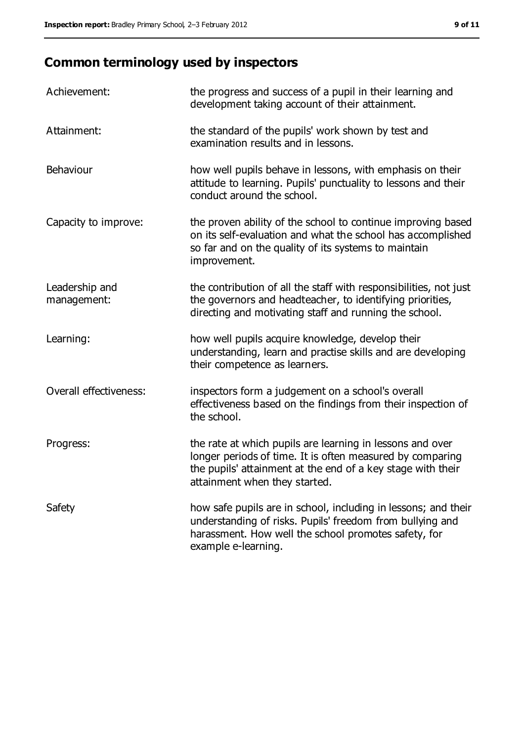# **Common terminology used by inspectors**

| Achievement:                  | the progress and success of a pupil in their learning and<br>development taking account of their attainment.                                                                                                           |
|-------------------------------|------------------------------------------------------------------------------------------------------------------------------------------------------------------------------------------------------------------------|
| Attainment:                   | the standard of the pupils' work shown by test and<br>examination results and in lessons.                                                                                                                              |
| Behaviour                     | how well pupils behave in lessons, with emphasis on their<br>attitude to learning. Pupils' punctuality to lessons and their<br>conduct around the school.                                                              |
| Capacity to improve:          | the proven ability of the school to continue improving based<br>on its self-evaluation and what the school has accomplished<br>so far and on the quality of its systems to maintain<br>improvement.                    |
| Leadership and<br>management: | the contribution of all the staff with responsibilities, not just<br>the governors and headteacher, to identifying priorities,<br>directing and motivating staff and running the school.                               |
| Learning:                     | how well pupils acquire knowledge, develop their<br>understanding, learn and practise skills and are developing<br>their competence as learners.                                                                       |
| Overall effectiveness:        | inspectors form a judgement on a school's overall<br>effectiveness based on the findings from their inspection of<br>the school.                                                                                       |
| Progress:                     | the rate at which pupils are learning in lessons and over<br>longer periods of time. It is often measured by comparing<br>the pupils' attainment at the end of a key stage with their<br>attainment when they started. |
| Safety                        | how safe pupils are in school, including in lessons; and their<br>understanding of risks. Pupils' freedom from bullying and<br>harassment. How well the school promotes safety, for<br>example e-learning.             |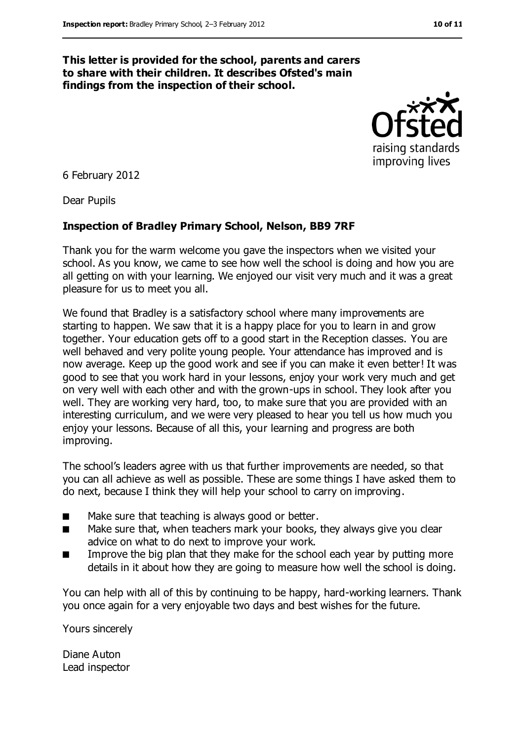#### **This letter is provided for the school, parents and carers to share with their children. It describes Ofsted's main findings from the inspection of their school.**



6 February 2012

Dear Pupils

#### **Inspection of Bradley Primary School, Nelson, BB9 7RF**

Thank you for the warm welcome you gave the inspectors when we visited your school. As you know, we came to see how well the school is doing and how you are all getting on with your learning. We enjoyed our visit very much and it was a great pleasure for us to meet you all.

We found that Bradley is a satisfactory school where many improvements are starting to happen. We saw that it is a happy place for you to learn in and grow together. Your education gets off to a good start in the Reception classes. You are well behaved and very polite young people. Your attendance has improved and is now average. Keep up the good work and see if you can make it even better! It was good to see that you work hard in your lessons, enjoy your work very much and get on very well with each other and with the grown-ups in school. They look after you well. They are working very hard, too, to make sure that you are provided with an interesting curriculum, and we were very pleased to hear you tell us how much you enjoy your lessons. Because of all this, your learning and progress are both improving.

The school's leaders agree with us that further improvements are needed, so that you can all achieve as well as possible. These are some things I have asked them to do next, because I think they will help your school to carry on improving.

- Make sure that teaching is always good or better.
- Make sure that, when teachers mark your books, they always give you clear advice on what to do next to improve your work.
- Improve the big plan that they make for the school each year by putting more details in it about how they are going to measure how well the school is doing.

You can help with all of this by continuing to be happy, hard-working learners. Thank you once again for a very enjoyable two days and best wishes for the future.

Yours sincerely

Diane Auton Lead inspector